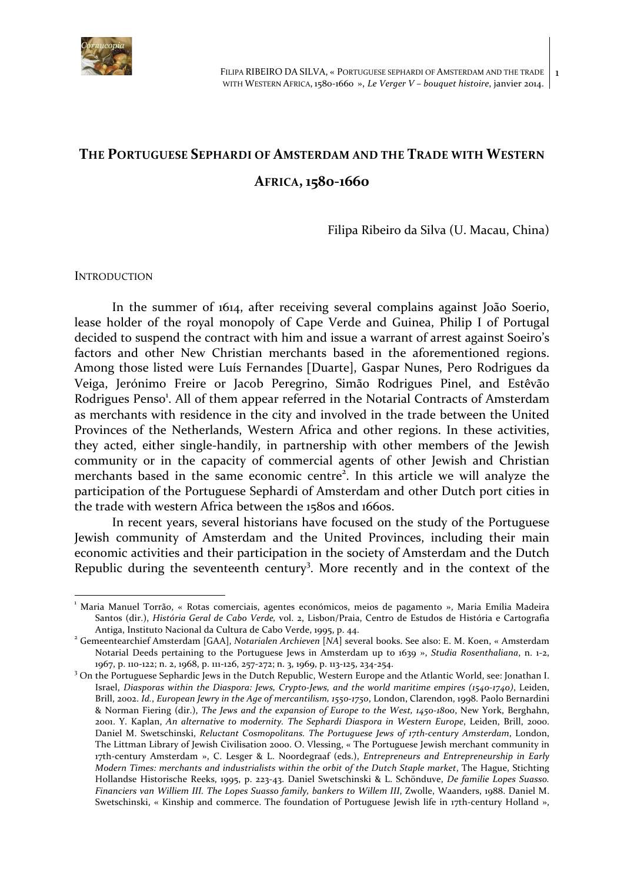

# THE PORTUGUESE **SEPHARDI OF AMSTERDAM AND THE TRADE WITH WESTERN**

**AFRICA, 1580-1660**

Filipa Ribeiro da Silva (U. Macau, China)

#### **INTRODUCTION**

In the summer of 1614, after receiving several complains against João Soerio, lease holder of the royal monopoly of Cape Verde and Guinea, Philip I of Portugal decided to suspend the contract with him and issue a warrant of arrest against Soeiro's factors and other New Christian merchants based in the aforementioned regions. Among those listed were Luís Fernandes [Duarte], Gaspar Nunes, Pero Rodrigues da Veiga, Jerónimo Freire or Jacob Peregrino, Simão Rodrigues Pinel, and Estêvão Rodrigues Penso<sup>1</sup>. All of them appear referred in the Notarial Contracts of Amsterdam as merchants with residence in the city and involved in the trade between the United Provinces of the Netherlands, Western Africa and other regions. In these activities, they acted, either single-handily, in partnership with other members of the Jewish community or in the capacity of commercial agents of other Jewish and Christian merchants based in the same economic centre<sup>2</sup>. In this article we will analyze the participation of the Portuguese Sephardi of Amsterdam and other Dutch port cities in the trade with western Africa between the 1580s and 1660s.

In recent years, several historians have focused on the study of the Portuguese Jewish community of Amsterdam and the United Provinces, including their main economic activities and their participation in the society of Amsterdam and the Dutch Republic during the seventeenth century<sup>3</sup>. More recently and in the context of the

where Maria Manuel Torrão, « Rotas comerciais, agentes económicos, meios de pagamento », Maria Emília Madeira<br>Comparte de Maria De Madeira Santos (dir.), *História Geral de Cabo Verde*, vol. 2, Lisbon/Praia, Centro de Estudos de História e Cartografia Antiga, Instituto Nacional da Cultura de Cabo Verde, 1995, p. 44.

<sup>&</sup>lt;sup>2</sup> Gemeentearchief Amsterdam [GAA], *Notarialen Archieven* [NA] several books. See also: E. M. Koen, « Amsterdam Notarial Deeds pertaining to the Portuguese Jews in Amsterdam up to 1639 », *Studia Rosenthaliana*, n. 1-2, 1967, p. 110-122; n. 2, 1968, p. 111-126, 257-272; n. 3, 1969, p. 113-125, 234-254.

 $3$  On the Portuguese Sephardic Jews in the Dutch Republic, Western Europe and the Atlantic World, see: Jonathan I. Israel, *Diasporas within the Diaspora: Jews, Crypto-Jews, and the world maritime empires (1540-1740)*, Leiden, Brill, 2002. Id., European Jewry in the Age of mercantilism, 1550-1750, London, Clarendon, 1998. Paolo Bernardini & Norman Fiering (dir.), *The Jews and the expansion of Europe to the West, 1450-1800*, New York, Berghahn, 2001. Y. Kaplan, An alternative to modernity. The Sephardi Diaspora in Western Europe, Leiden, Brill, 2000. Daniel M. Swetschinski, *Reluctant Cosmopolitans. The Portuguese Jews of 17th-century Amsterdam*, London, The Littman Library of Jewish Civilisation 2000. O. Vlessing, « The Portuguese Jewish merchant community in 17th-century Amsterdam », C. Lesger & L. Noordegraaf (eds.), *Entrepreneurs and Entrepreneurship in Early Modern Times: merchants and industrialists within the orbit of the Dutch Staple market*, The Hague, Stichting Hollandse Historische Reeks, 1995, p. 223-43. Daniel Swetschinski & L. Schönduve, *De familie Lopes Suasso. Financiers van Williem III. The Lopes Suasso family, bankers to Willem III, Zwolle, Waanders, 1988. Daniel M.* Swetschinski, « Kinship and commerce. The foundation of Portuguese Jewish life in 17th-century Holland »,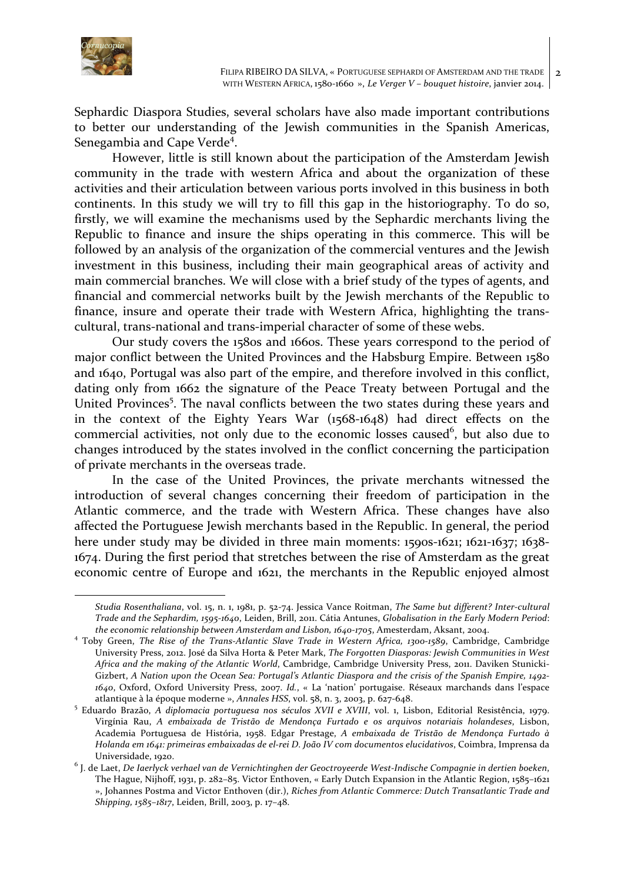

 

Sephardic Diaspora Studies, several scholars have also made important contributions to better our understanding of the Jewish communities in the Spanish Americas, Senegambia and Cape Verde<sup>4</sup>.

However, little is still known about the participation of the Amsterdam Jewish community in the trade with western Africa and about the organization of these activities and their articulation between various ports involved in this business in both continents. In this study we will try to fill this gap in the historiography. To do so, firstly, we will examine the mechanisms used by the Sephardic merchants living the Republic to finance and insure the ships operating in this commerce. This will be followed by an analysis of the organization of the commercial ventures and the Jewish investment in this business, including their main geographical areas of activity and main commercial branches. We will close with a brief study of the types of agents, and financial and commercial networks built by the Jewish merchants of the Republic to finance, insure and operate their trade with Western Africa, highlighting the transcultural, trans-national and trans-imperial character of some of these webs.

Our study covers the 1580s and 1660s. These years correspond to the period of major conflict between the United Provinces and the Habsburg Empire. Between 1580 and 1640, Portugal was also part of the empire, and therefore involved in this conflict, dating only from 1662 the signature of the Peace Treaty between Portugal and the United Provinces<sup>5</sup>. The naval conflicts between the two states during these years and in the context of the Eighty Years War  $(1568-1648)$  had direct effects on the commercial activities, not only due to the economic losses caused<sup>6</sup>, but also due to changes introduced by the states involved in the conflict concerning the participation of private merchants in the overseas trade.

In the case of the United Provinces, the private merchants witnessed the introduction of several changes concerning their freedom of participation in the Atlantic commerce, and the trade with Western Africa. These changes have also affected the Portuguese Jewish merchants based in the Republic. In general, the period here under study may be divided in three main moments: 1590s-1621; 1621-1637; 1638-1674. During the first period that stretches between the rise of Amsterdam as the great economic centre of Europe and 1621, the merchants in the Republic enjoyed almost

*Studia Rosenthaliana*, vol. 15, n. 1, 1981, p. 52-74. Jessica Vance Roitman, *The Same but different? Inter-cultural Trade and the Sephardim, 1595-1640*, Leiden, Brill, 2011. Cátia Antunes, *Globalisation in the Early Modern Period*: the economic relationship between Amsterdam and Lisbon, 1640-1705, Amesterdam, Aksant, 2004.

<sup>&</sup>lt;sup>4</sup> Toby Green, *The Rise of the Trans-Atlantic Slave Trade in Western Africa, 1300-1589*, Cambridge, Cambridge University Press, 2012. José da Silva Horta & Peter Mark, *The Forgotten Diasporas: Jewish Communities in West Africa and the making of the Atlantic World*, Cambridge, Cambridge University Press, 2011. Daviken Stunicki-Gizbert, *A* Nation upon the Ocean Sea: Portugal's Atlantic Diaspora and the crisis of the Spanish Empire, 1492-*1640*, Oxford, Oxford University Press, 2007. *Id.*, « La 'nation' portugaise. Réseaux marchands dans l'espace atlantique à la époque moderne », *Annales HSS*, vol. 58, n. 3, 2003, p. 627-648.

<sup>&</sup>lt;sup>5</sup> Eduardo Brazão, *A diplomacia portuguesa nos séculos XVII e XVIII*, vol. 1, Lisbon, Editorial Resistência, 1979. Virgínia Rau, *A embaixada de Tristão de Mendonça Furtado e os arquivos notariais holandeses*, Lisbon, Academia Portuguesa de História, 1958. Edgar Prestage, *A embaixada de Tristão de Mendonça Furtado à Holanda em 1641: primeiras embaixadas de el-rei D. João IV com documentos elucidativos*, Coimbra, Imprensa da Universidade, 1920.

<sup>&</sup>lt;sup>6</sup> J. de Laet, De Iaerlyck verhael van de Vernichtinghen der Geoctroyeerde West-Indische Compagnie in dertien boeken, The Hague, Nijhoff, 1931, p. 282–85. Victor Enthoven, « Early Dutch Expansion in the Atlantic Region, 1585–1621 », Johannes Postma and Victor Enthoven (dir.), *Riches from Atlantic Commerce: Dutch Transatlantic Trade and Shipping, 1585-1817*, Leiden, Brill, 2003, p. 17-48.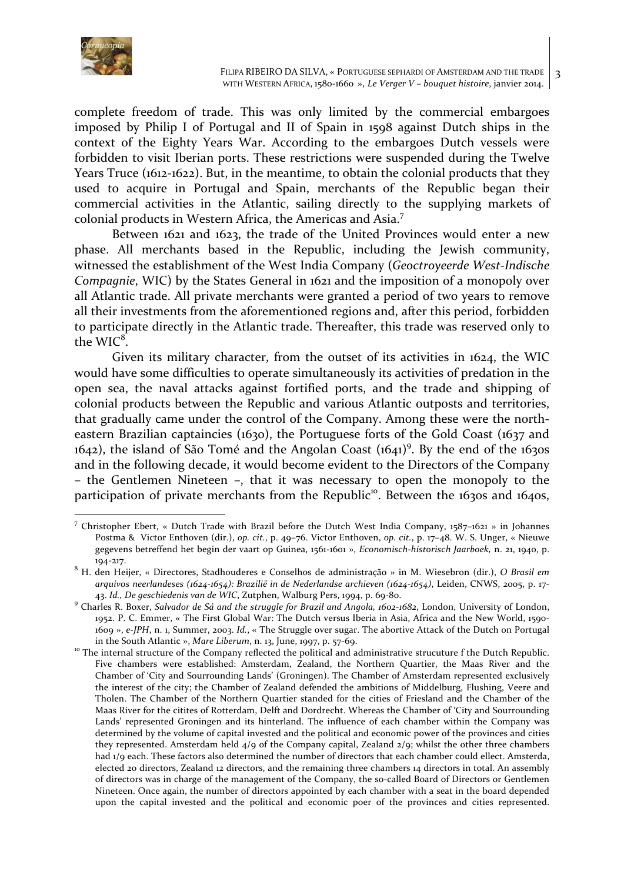

complete freedom of trade. This was only limited by the commercial embargoes imposed by Philip I of Portugal and II of Spain in 1598 against Dutch ships in the context of the Eighty Years War. According to the embargoes Dutch vessels were forbidden to visit Iberian ports. These restrictions were suspended during the Twelve Years Truce (1612-1622). But, in the meantime, to obtain the colonial products that they used to acquire in Portugal and Spain, merchants of the Republic began their commercial activities in the Atlantic, sailing directly to the supplying markets of colonial products in Western Africa, the Americas and Asia.<sup>7</sup>

Between 1621 and 1623, the trade of the United Provinces would enter a new phase. All merchants based in the Republic, including the Jewish community, witnessed the establishment of the West India Company (*Geoctroyeerde West-Indische Compagnie*, WIC) by the States General in 1621 and the imposition of a monopoly over all Atlantic trade. All private merchants were granted a period of two years to remove all their investments from the aforementioned regions and, after this period, forbidden to participate directly in the Atlantic trade. Thereafter, this trade was reserved only to the  $WIC<sup>8</sup>$ .

Given its military character, from the outset of its activities in  $1624$ , the WIC would have some difficulties to operate simultaneously its activities of predation in the open sea, the naval attacks against fortified ports, and the trade and shipping of colonial products between the Republic and various Atlantic outposts and territories, that gradually came under the control of the Company. Among these were the northeastern Brazilian captaincies (1630), the Portuguese forts of the Gold Coast (1637 and  $1642$ ), the island of São Tomé and the Angolan Coast  $(1641)^9$ . By the end of the 1630s and in the following decade, it would become evident to the Directors of the Company  $-$  the Gentlemen Nineteen  $-$ , that it was necessary to open the monopoly to the participation of private merchants from the Republic<sup>10</sup>. Between the 1630s and 1640s,

T<br>Thristopher Ebert, « Dutch Trade with Brazil before the Dutch West India Company, 1587–1621 » in Johannes Postma & Victor Enthoven (dir.), op. cit., p. 49–76. Victor Enthoven, op. cit., p. 17–48. W. S. Unger, « Nieuwe gegevens betreffend het begin der vaart op Guinea, 1561-1601 », *Economisch-historisch Jaarboek*, n. 21, 1940, p.

<sup>194-217.&</sup>lt;br><sup>8</sup> H. den Heijer, « Directores, Stadhouderes e Conselhos de administração » in M. Wiesebron (dir.), *O Brasil em arquivos neerlandeses* (1624-1654): *Brazilië in de Nederlandse archieven* (1624-1654), Leiden, CNWS, 2005, p. 17-43. Id., De geschiedenis van de WIC, Zutphen, Walburg Pers, 1994, p. 69-80.

<sup>&</sup>lt;sup>9</sup> Charles R. Boxer, *Salvador de Sá and the struggle for Brazil and Angola, 1602-1682*, London, University of London, 1952. P. C. Emmer, « The First Global War: The Dutch versus Iberia in Asia, Africa and the New World, 1590-1609 », e-JPH, n. 1, Summer, 2003. Id., « The Struggle over sugar. The abortive Attack of the Dutch on Portugal in the South Atlantic », *Mare Liberum*, n. 13, June, 1997, p. 57-69.<br><sup>10</sup> The internal structure of the Company reflected the political and administrative strucuture f the Dutch Republic.

Five chambers were established: Amsterdam, Zealand, the Northern Quartier, the Maas River and the Chamber of 'City and Sourrounding Lands' (Groningen). The Chamber of Amsterdam represented exclusively the interest of the city; the Chamber of Zealand defended the ambitions of Middelburg, Flushing, Veere and Tholen. The Chamber of the Northern Quartier standed for the cities of Friesland and the Chamber of the Maas River for the citites of Rotterdam, Delft and Dordrecht. Whereas the Chamber of 'City and Sourrounding Lands' represented Groningen and its hinterland. The influence of each chamber within the Company was determined by the volume of capital invested and the political and economic power of the provinces and cities they represented. Amsterdam held  $4/9$  of the Company capital, Zealand  $2/9$ ; whilst the other three chambers had 1/9 each. These factors also determined the number of directors that each chamber could ellect. Amsterda, elected 20 directors, Zealand 12 directors, and the remaining three chambers 14 directors in total. An assembly of directors was in charge of the management of the Company, the so-called Board of Directors or Gentlemen Nineteen. Once again, the number of directors appointed by each chamber with a seat in the board depended upon the capital invested and the political and economic poer of the provinces and cities represented.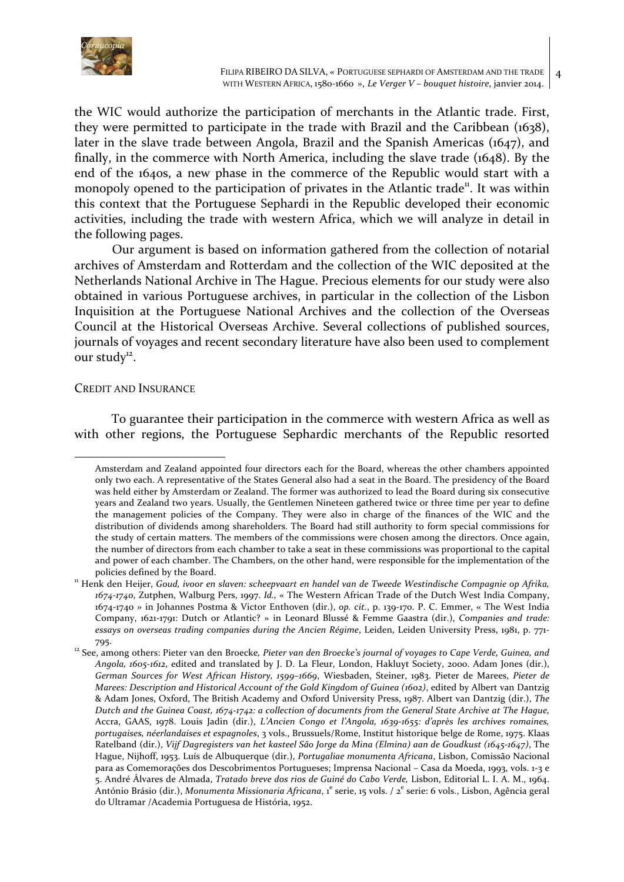

the WIC would authorize the participation of merchants in the Atlantic trade. First, they were permitted to participate in the trade with Brazil and the Caribbean (1638), later in the slave trade between Angola, Brazil and the Spanish Americas  $(1647)$ , and finally, in the commerce with North America, including the slave trade  $(1648)$ . By the end of the 1640s, a new phase in the commerce of the Republic would start with a monopoly opened to the participation of privates in the Atlantic trade<sup>n</sup>. It was within this context that the Portuguese Sephardi in the Republic developed their economic activities, including the trade with western Africa, which we will analyze in detail in the following pages.

Our argument is based on information gathered from the collection of notarial archives of Amsterdam and Rotterdam and the collection of the WIC deposited at the Netherlands National Archive in The Hague. Precious elements for our study were also obtained in various Portuguese archives, in particular in the collection of the Lisbon Inquisition at the Portuguese National Archives and the collection of the Overseas Council at the Historical Overseas Archive. Several collections of published sources, journals of voyages and recent secondary literature have also been used to complement our study $12$ .

## CREDIT AND INSURANCE

 

To guarantee their participation in the commerce with western Africa as well as with other regions, the Portuguese Sephardic merchants of the Republic resorted

Amsterdam and Zealand appointed four directors each for the Board, whereas the other chambers appointed only two each. A representative of the States General also had a seat in the Board. The presidency of the Board was held either by Amsterdam or Zealand. The former was authorized to lead the Board during six consecutive years and Zealand two years. Usually, the Gentlemen Nineteen gathered twice or three time per year to define the management policies of the Company. They were also in charge of the finances of the WIC and the distribution of dividends among shareholders. The Board had still authority to form special commissions for the study of certain matters. The members of the commissions were chosen among the directors. Once again, the number of directors from each chamber to take a seat in these commissions was proportional to the capital and power of each chamber. The Chambers, on the other hand, were responsible for the implementation of the policies defined by the Board.<br><sup>11</sup> Henk den Heijer, *Goud, ivoor en slaven: scheepvaart en handel van de Tweede Westindische Compagnie op Afrika,* 

<sup>1674-1740,</sup> Zutphen, Walburg Pers, 1997. *Id.*, « The Western African Trade of the Dutch West India Company, 1674-1740 » in Johannes Postma & Victor Enthoven (dir.), op. cit., p. 139-170. P. C. Emmer, « The West India Company, 1621-1791: Dutch or Atlantic? » in Leonard Blussé & Femme Gaastra (dir.), *Companies and trade:* essays on overseas trading companies during the Ancien Régime, Leiden, Leiden University Press, 1981, p. 771-795.<br><sup>12</sup> See, among others: Pieter van den Broecke, *Pieter van den Broecke's journal of voyages to Cape Verde, Guinea, and* 

*Angola, 1605-1612*, edited and translated by J. D. La Fleur, London, Hakluyt Society, 2000. Adam Jones (dir.), German Sources for West African History, 1599-1669, Wiesbaden, Steiner, 1983. Pieter de Marees, Pieter de *Marees: Description and Historical Account of the Gold Kingdom of Guinea (1602)*, edited by Albert van Dantzig & Adam Jones, Oxford, The British Academy and Oxford University Press, 1987. Albert van Dantzig (dir.), The *Dutch* and the Guinea Coast, 1674-1742: a collection of documents from the General State Archive at The Hague, Accra, GAAS, 1978. Louis Jadin (dir.), *L'Ancien Congo et l'Angola, 1639-1655: d'après les archives romaines,* portugaises, néerlandaises et espagnoles, 3 vols., Brussuels/Rome, Institut historique belge de Rome, 1975. Klaas Ratelband (dir.), Vijf Dagregisters van het kasteel São Jorge da Mina (Elmina) aan de Goudkust (1645-1647), The Hague, Nijhoff, 1953. Luís de Albuquerque (dir.), *Portugaliae monumenta Africana*, Lisbon, Comissão Nacional para as Comemorações dos Descobrimentos Portugueses; Imprensa Nacional – Casa da Moeda, 1993, vols. 1-3 e 5. André Álvares de Almada, *Tratado breve dos rios de Guiné do Cabo Verde*, Lisbon, Editorial L. I. A. M., 1964. <sup>-</sup><br>António Brásio (dir.), Monumenta Missionaria Africana, 1<sup>e</sup> serie, 15 vols. / 2<sup>e</sup> serie: 6 vols., Lisbon, Agência geral do Ultramar /Academia Portuguesa de História, 1952.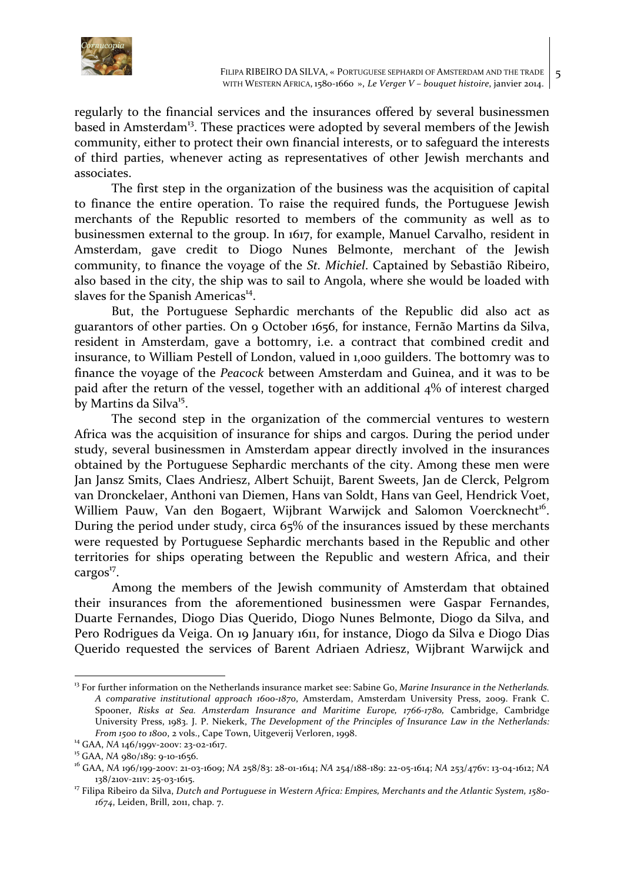

regularly to the financial services and the insurances offered by several businessmen based in Amsterdam<sup>13</sup>. These practices were adopted by several members of the Jewish community, either to protect their own financial interests, or to safeguard the interests of third parties, whenever acting as representatives of other Jewish merchants and associates.

The first step in the organization of the business was the acquisition of capital to finance the entire operation. To raise the required funds, the Portuguese Jewish merchants of the Republic resorted to members of the community as well as to businessmen external to the group. In 1617, for example, Manuel Carvalho, resident in Amsterdam, gave credit to Diogo Nunes Belmonte, merchant of the Jewish community, to finance the voyage of the *St. Michiel*. Captained by Sebastião Ribeiro, also based in the city, the ship was to sail to Angola, where she would be loaded with slaves for the Spanish Americas<sup>14</sup>.

But, the Portuguese Sephardic merchants of the Republic did also act as guarantors of other parties. On 9 October 1656, for instance, Fernão Martins da Silva, resident in Amsterdam, gave a bottomry, i.e. a contract that combined credit and insurance, to William Pestell of London, valued in 1,000 guilders. The bottomry was to finance the voyage of the *Peacock* between Amsterdam and Guinea, and it was to be paid after the return of the vessel, together with an additional  $4\%$  of interest charged by Martins da Silva<sup>15</sup>.

The second step in the organization of the commercial ventures to western Africa was the acquisition of insurance for ships and cargos. During the period under study, several businessmen in Amsterdam appear directly involved in the insurances obtained by the Portuguese Sephardic merchants of the city. Among these men were Jan Jansz Smits, Claes Andriesz, Albert Schuijt, Barent Sweets, Jan de Clerck, Pelgrom van Dronckelaer, Anthoni van Diemen, Hans van Soldt, Hans van Geel, Hendrick Voet, Williem Pauw, Van den Bogaert, Wijbrant Warwijck and Salomon Voercknecht<sup>16</sup>. During the period under study, circa  $65\%$  of the insurances issued by these merchants were requested by Portuguese Sephardic merchants based in the Republic and other territories for ships operating between the Republic and western Africa, and their  $cargos<sup>17</sup>$ .

Among the members of the Jewish community of Amsterdam that obtained their insurances from the aforementioned businessmen were Gaspar Fernandes, Duarte Fernandes, Diogo Dias Querido, Diogo Nunes Belmonte, Diogo da Silva, and Pero Rodrigues da Veiga. On 19 January 1611, for instance, Diogo da Silva e Diogo Dias Querido requested the services of Barent Adriaen Adriesz, Wijbrant Warwijck and

<sup>&</sup>lt;sup>13</sup> For further information on the Netherlands insurance market see: Sabine Go, *Marine Insurance in the Netherlands*. *A comparative institutional approach 1600-1870*, Amsterdam, Amsterdam University Press, 2009. Frank C. Spooner, Risks at Sea. Amsterdam Insurance and Maritime Europe, 1766-1780, Cambridge, Cambridge University Press, 1983. J. P. Niekerk, *The Development of the Principles of Insurance Law in the Netherlands:* 

From 1500 to 1800, 2 vols., Cape Town, Uitgeverij Verloren, 1998.<br><sup>14</sup> GAA, NA 146/199v-200v: 23-02-1617.<br><sup>15</sup> GAA, NA 980/189: 9-10-1656.<br><sup>16</sup> GAA, NA 196/199-200v: 21-03-1609; NA 258/83: 28-01-1614; NA 254/188-189: 22-05 138/210v-211v: 25-03-1615.<br><sup>17</sup> Filipa Ribeiro da Silva, *Dutch and Portuguese in Western Africa: Empires, Merchants and the Atlantic System, 1580-*

<sup>1674,</sup> Leiden, Brill, 2011, chap. 7.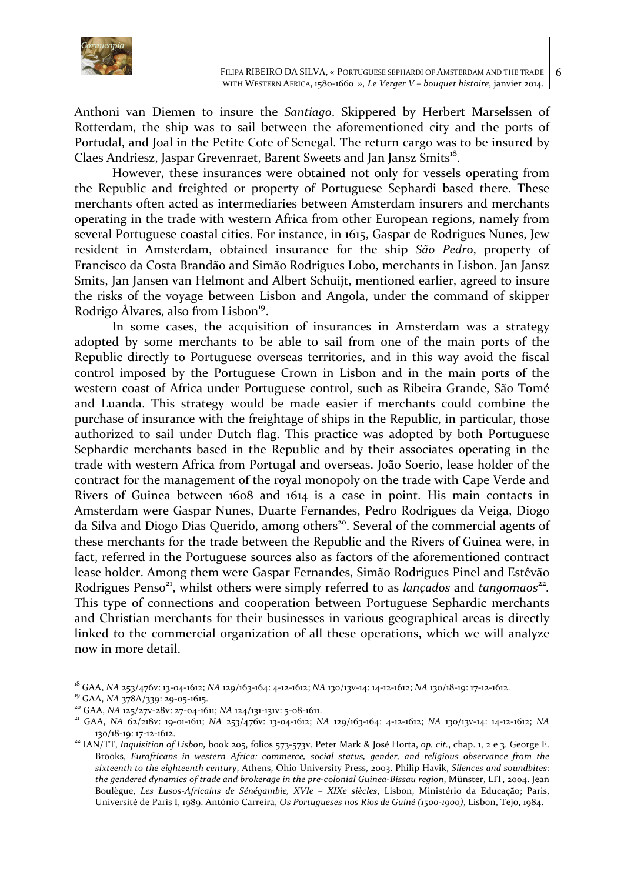

Anthoni van Diemen to insure the *Santiago*. Skippered by Herbert Marselssen of Rotterdam, the ship was to sail between the aforementioned city and the ports of Portudal, and Joal in the Petite Cote of Senegal. The return cargo was to be insured by Claes Andriesz, Jaspar Grevenraet, Barent Sweets and Jan Jansz Smits<sup>18</sup>.

However, these insurances were obtained not only for vessels operating from the Republic and freighted or property of Portuguese Sephardi based there. These merchants often acted as intermediaries between Amsterdam insurers and merchants operating in the trade with western Africa from other European regions, namely from several Portuguese coastal cities. For instance, in 1615, Gaspar de Rodrigues Nunes, Jew resident in Amsterdam, obtained insurance for the ship *São Pedro*, property of Francisco da Costa Brandão and Simão Rodrigues Lobo, merchants in Lisbon. Jan Jansz Smits, Jan Jansen van Helmont and Albert Schuijt, mentioned earlier, agreed to insure the risks of the voyage between Lisbon and Angola, under the command of skipper Rodrigo Álvares, also from Lisbon<sup>19</sup>.

In some cases, the acquisition of insurances in Amsterdam was a strategy adopted by some merchants to be able to sail from one of the main ports of the Republic directly to Portuguese overseas territories, and in this way avoid the fiscal control imposed by the Portuguese Crown in Lisbon and in the main ports of the western coast of Africa under Portuguese control, such as Ribeira Grande, São Tomé and Luanda. This strategy would be made easier if merchants could combine the purchase of insurance with the freightage of ships in the Republic, in particular, those authorized to sail under Dutch flag. This practice was adopted by both Portuguese Sephardic merchants based in the Republic and by their associates operating in the trade with western Africa from Portugal and overseas. João Soerio, lease holder of the contract for the management of the royal monopoly on the trade with Cape Verde and Rivers of Guinea between 1608 and 1614 is a case in point. His main contacts in Amsterdam were Gaspar Nunes, Duarte Fernandes, Pedro Rodrigues da Veiga, Diogo da Silva and Diogo Dias Querido, among others<sup>20</sup>. Several of the commercial agents of these merchants for the trade between the Republic and the Rivers of Guinea were, in fact, referred in the Portuguese sources also as factors of the aforementioned contract lease holder. Among them were Gaspar Fernandes, Simão Rodrigues Pinel and Estêvão Rodrigues Penso<sup>21</sup>, whilst others were simply referred to as *lançados* and *tangomaos*<sup>22</sup>. This type of connections and cooperation between Portuguese Sephardic merchants and Christian merchants for their businesses in various geographical areas is directly linked to the commercial organization of all these operations, which we will analyze now in more detail.

<sup>&</sup>lt;sup>18</sup> GAA, NA 253/476v: 13-04-1612; NA 129/163-164: 4-12-1612; NA 130/13v-14: 14-12-1612; NA 130/18-19: 17-12-1612.<br><sup>19</sup> GAA, NA 378A/339: 29-05-1615.<br><sup>20</sup> GAA, NA 125/27v-28v: 27-04-1611; NA 124/131-131v: 5-08-1611.<br><sup>21</sup> G

<sup>130/18-19: 17-12-1612.&</sup>lt;br><sup>22</sup> IAN/TT, *Inquisition of Lisbon*, book 205, folios 573-573v. Peter Mark & José Horta, op. *cit.*, *chap.* 1, 2 e 3. George E.

Brooks, *Eurafricans in western Africa: commerce, social status, gender, and religious observance from the* sixteenth to the eighteenth century, Athens, Ohio University Press, 2003. Philip Havik, Silences and soundbites: the gendered dynamics of trade and brokerage in the pre-colonial Guinea-Bissau region, Münster, LIT, 2004. Jean Boulègue, Les Lusos-Africains de Sénégambie, XVIe - XIXe siècles, Lisbon, Ministério da Educação; Paris, Université de Paris I, 1989. António Carreira, Os Portugueses nos Rios de Guiné (1500-1900), Lisbon, Tejo, 1984.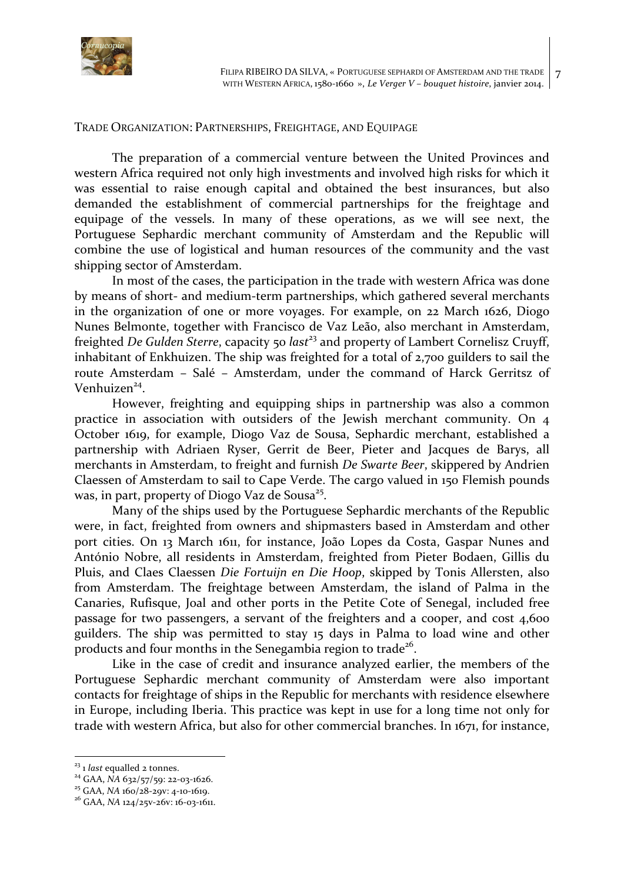

## TRADE ORGANIZATION: PARTNERSHIPS, FREIGHTAGE, AND EQUIPAGE

The preparation of a commercial venture between the United Provinces and western Africa required not only high investments and involved high risks for which it was essential to raise enough capital and obtained the best insurances, but also demanded the establishment of commercial partnerships for the freightage and equipage of the vessels. In many of these operations, as we will see next, the Portuguese Sephardic merchant community of Amsterdam and the Republic will combine the use of logistical and human resources of the community and the vast shipping sector of Amsterdam.

In most of the cases, the participation in the trade with western Africa was done by means of short- and medium-term partnerships, which gathered several merchants in the organization of one or more voyages. For example, on  $22$  March 1626, Diogo Nunes Belmonte, together with Francisco de Vaz Leão, also merchant in Amsterdam, freighted *De Gulden Sterre*, capacity 50 *last*<sup>23</sup> and property of Lambert Cornelisz Cruyff, inhabitant of Enkhuizen. The ship was freighted for a total of  $2,700$  guilders to sail the route Amsterdam - Salé - Amsterdam, under the command of Harck Gerritsz of Venhuizen<sup>24</sup>.

However, freighting and equipping ships in partnership was also a common practice in association with outsiders of the Jewish merchant community. On 4 October 1619, for example, Diogo Vaz de Sousa, Sephardic merchant, established a partnership with Adriaen Ryser, Gerrit de Beer, Pieter and Jacques de Barys, all merchants in Amsterdam, to freight and furnish *De Swarte Beer*, skippered by Andrien Claessen of Amsterdam to sail to Cape Verde. The cargo valued in 150 Flemish pounds was, in part, property of Diogo Vaz de Sousa<sup>25</sup>.

Many of the ships used by the Portuguese Sephardic merchants of the Republic were, in fact, freighted from owners and shipmasters based in Amsterdam and other port cities. On 13 March 1611, for instance, João Lopes da Costa, Gaspar Nunes and António Nobre, all residents in Amsterdam, freighted from Pieter Bodaen, Gillis du Pluis, and Claes Claessen *Die Fortuijn en Die Hoop*, skipped by Tonis Allersten, also from Amsterdam. The freightage between Amsterdam, the island of Palma in the Canaries, Rufisque, Joal and other ports in the Petite Cote of Senegal, included free passage for two passengers, a servant of the freighters and a cooper, and cost 4,600 guilders. The ship was permitted to stay 15 days in Palma to load wine and other products and four months in the Senegambia region to trade<sup>26</sup>.

Like in the case of credit and insurance analyzed earlier, the members of the Portuguese Sephardic merchant community of Amsterdam were also important contacts for freightage of ships in the Republic for merchants with residence elsewhere in Europe, including Iberia. This practice was kept in use for a long time not only for trade with western Africa, but also for other commercial branches. In  $1671$ , for instance,

<sup>&</sup>lt;sup>23</sup> 1 *last* equalled 2 tonnes.<br><sup>24</sup> GAA, *NA* 632/57/59: 22-03-1626.<br><sup>25</sup> GAA, *NA* 160/28-29v: 4-10-1619.<br><sup>26</sup> GAA, *NA* 124/25v-26v: 16-03-1611.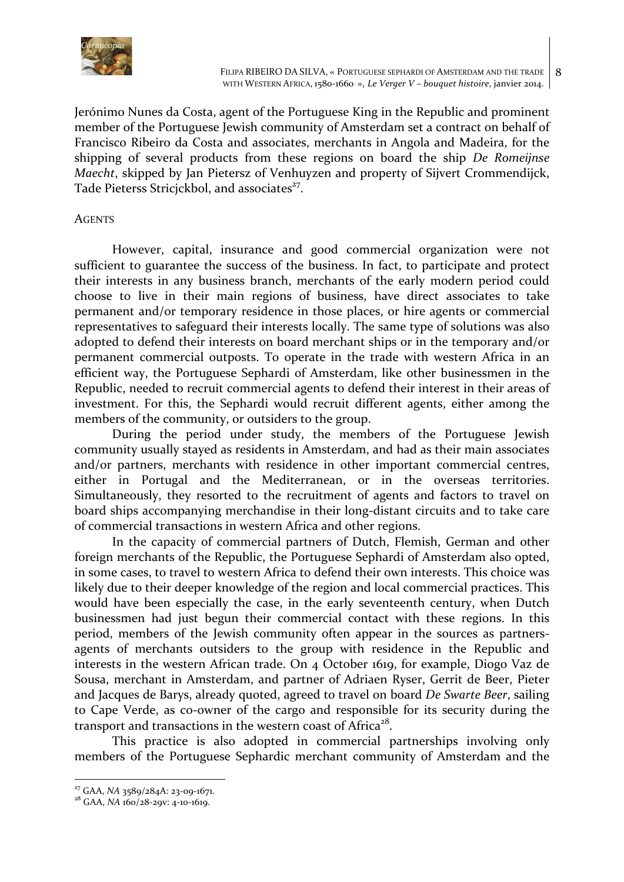

Jerónimo Nunes da Costa, agent of the Portuguese King in the Republic and prominent member of the Portuguese Jewish community of Amsterdam set a contract on behalf of Francisco Ribeiro da Costa and associates, merchants in Angola and Madeira, for the shipping of several products from these regions on board the ship *De Romeijnse Maecht*, skipped by Jan Pietersz of Venhuyzen and property of Sijvert Crommendijck, Tade Pieterss Stricjckbol, and associates<sup>27</sup>.

## **AGENTS**

However, capital, insurance and good commercial organization were not sufficient to guarantee the success of the business. In fact, to participate and protect their interests in any business branch, merchants of the early modern period could choose to live in their main regions of business, have direct associates to take permanent and/or temporary residence in those places, or hire agents or commercial representatives to safeguard their interests locally. The same type of solutions was also adopted to defend their interests on board merchant ships or in the temporary and/or permanent commercial outposts. To operate in the trade with western Africa in an efficient way, the Portuguese Sephardi of Amsterdam, like other businessmen in the Republic, needed to recruit commercial agents to defend their interest in their areas of investment. For this, the Sephardi would recruit different agents, either among the members of the community, or outsiders to the group.

During the period under study, the members of the Portuguese Jewish community usually stayed as residents in Amsterdam, and had as their main associates and/or partners, merchants with residence in other important commercial centres, either in Portugal and the Mediterranean, or in the overseas territories. Simultaneously, they resorted to the recruitment of agents and factors to travel on board ships accompanying merchandise in their long-distant circuits and to take care of commercial transactions in western Africa and other regions.

In the capacity of commercial partners of Dutch, Flemish, German and other foreign merchants of the Republic, the Portuguese Sephardi of Amsterdam also opted, in some cases, to travel to western Africa to defend their own interests. This choice was likely due to their deeper knowledge of the region and local commercial practices. This would have been especially the case, in the early seventeenth century, when Dutch businessmen had just begun their commercial contact with these regions. In this period, members of the Jewish community often appear in the sources as partnersagents of merchants outsiders to the group with residence in the Republic and interests in the western African trade. On 4 October 1619, for example, Diogo Vaz de Sousa, merchant in Amsterdam, and partner of Adriaen Ryser, Gerrit de Beer, Pieter and Jacques de Barys, already quoted, agreed to travel on board *De Swarte Beer*, sailing to Cape Verde, as co-owner of the cargo and responsible for its security during the transport and transactions in the western coast of Africa<sup>28</sup>.

This practice is also adopted in commercial partnerships involving only members of the Portuguese Sephardic merchant community of Amsterdam and the

<sup>&</sup>lt;sup>27</sup> GAA, *NA* 3589/284A: 23-09-1671.<br><sup>28</sup> GAA, *NA* 160/28-29v: 4-10-1619.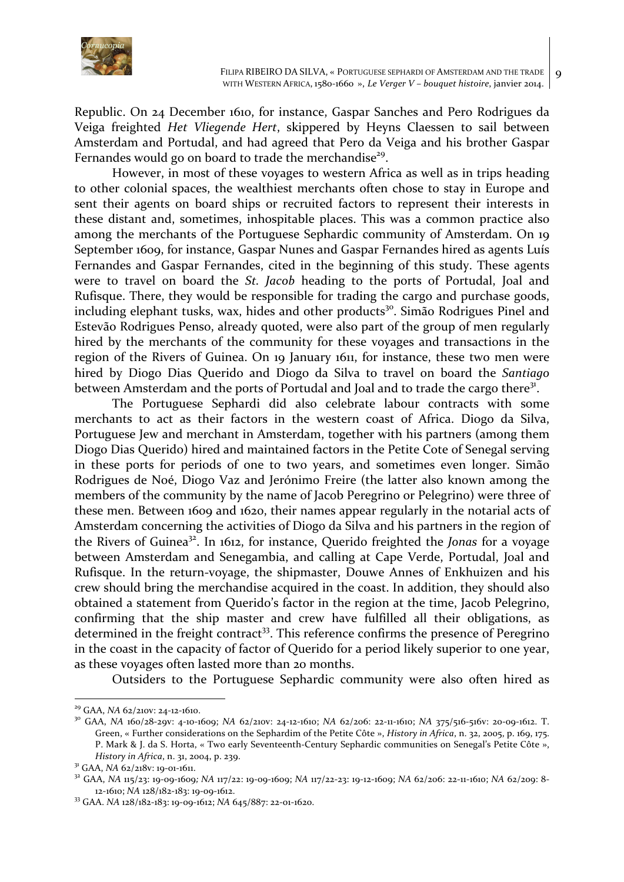

Republic. On 24 December 1610, for instance, Gaspar Sanches and Pero Rodrigues da Veiga freighted *Het Vliegende Hert*, skippered by Heyns Claessen to sail between Amsterdam and Portudal, and had agreed that Pero da Veiga and his brother Gaspar Fernandes would go on board to trade the merchandise<sup>29</sup>.

However, in most of these voyages to western Africa as well as in trips heading to other colonial spaces, the wealthiest merchants often chose to stay in Europe and sent their agents on board ships or recruited factors to represent their interests in these distant and, sometimes, inhospitable places. This was a common practice also among the merchants of the Portuguese Sephardic community of Amsterdam. On 19 September 1609, for instance, Gaspar Nunes and Gaspar Fernandes hired as agents Luís Fernandes and Gaspar Fernandes, cited in the beginning of this study. These agents were to travel on board the *St. Jacob* heading to the ports of Portudal, Joal and Rufisque. There, they would be responsible for trading the cargo and purchase goods, including elephant tusks, wax, hides and other products<sup>30</sup>. Simão Rodrigues Pinel and Estevão Rodrigues Penso, already quoted, were also part of the group of men regularly hired by the merchants of the community for these voyages and transactions in the region of the Rivers of Guinea. On 19 January 1611, for instance, these two men were hired by Diogo Dias Querido and Diogo da Silva to travel on board the *Santiago* between Amsterdam and the ports of Portudal and Joal and to trade the cargo there<sup>31</sup>.

The Portuguese Sephardi did also celebrate labour contracts with some merchants to act as their factors in the western coast of Africa. Diogo da Silva, Portuguese Jew and merchant in Amsterdam, together with his partners (among them Diogo Dias Querido) hired and maintained factors in the Petite Cote of Senegal serving in these ports for periods of one to two years, and sometimes even longer. Simão Rodrigues de Noé, Diogo Vaz and Jerónimo Freire (the latter also known among the members of the community by the name of Jacob Peregrino or Pelegrino) were three of these men. Between 1609 and 1620, their names appear regularly in the notarial acts of Amsterdam concerning the activities of Diogo da Silva and his partners in the region of the Rivers of Guinea<sup>32</sup>. In 1612, for instance, Querido freighted the *Jonas* for a voyage between Amsterdam and Senegambia, and calling at Cape Verde, Portudal, Joal and Rufisque. In the return-voyage, the shipmaster, Douwe Annes of Enkhuizen and his crew should bring the merchandise acquired in the coast. In addition, they should also obtained a statement from Querido's factor in the region at the time, Jacob Pelegrino, confirming that the ship master and crew have fulfilled all their obligations, as determined in the freight contract<sup>33</sup>. This reference confirms the presence of Peregrino in the coast in the capacity of factor of Querido for a period likely superior to one year, as these voyages often lasted more than 20 months.

Outsiders to the Portuguese Sephardic community were also often hired as

<sup>&</sup>lt;sup>29</sup> GAA, *NA* 62/210v: 24-12-1610.<br><sup>30</sup> GAA, *NA* 160/28-29v: 4-10-1609; *NA* 62/210v: 24-12-1610; *NA* 62/206: 22-11-1610; *NA* 375/516-516v: 20-09-1612. T. Green, « Further considerations on the Sephardim of the Petite Côte », *History in Africa*, n. 32, 2005, p. 169, 175. P. Mark & J. da S. Horta, « Two early Seventeenth-Century Sephardic communities on Senegal's Petite Côte », History in Africa, n. 31, 2004, p. 239.<br><sup>31</sup> GAA, NA 62/218v: 19-01-1611.<br><sup>32</sup> GAA, NA 115/23: 19-09-1609; NA 117/22: 19-09-1609; NA 117/22-23: 19-12-1609; NA 62/206: 22-11-1610; NA 62/209: 8-

<sup>12-1610;</sup> *NA* 128/182-183: 19-09-1612. 33 GAA. *NA* 128/182-183: 19-09-1612; *NA* 645/887: 22-01-1620.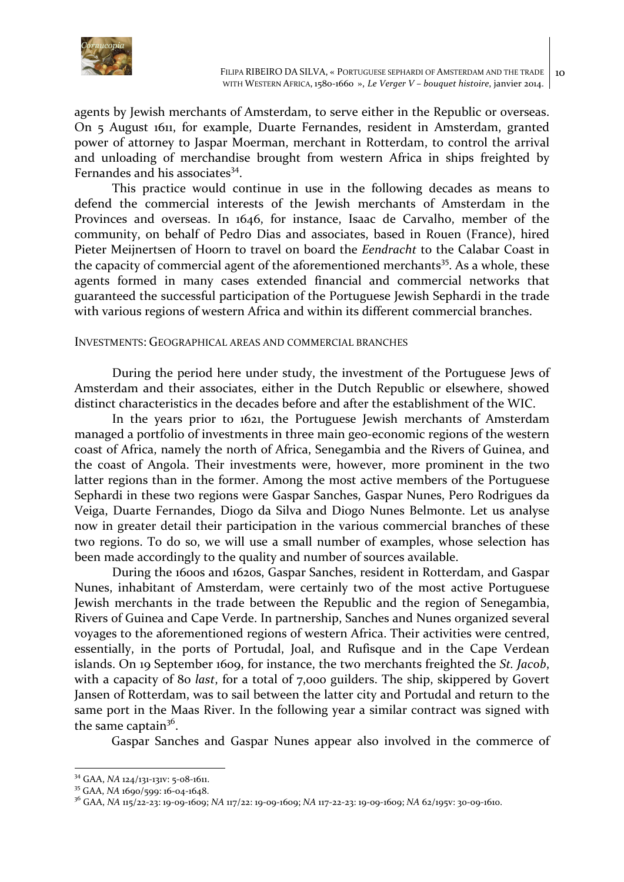

agents by Jewish merchants of Amsterdam, to serve either in the Republic or overseas. On 5 August 1611, for example, Duarte Fernandes, resident in Amsterdam, granted power of attorney to Jaspar Moerman, merchant in Rotterdam, to control the arrival and unloading of merchandise brought from western Africa in ships freighted by Fernandes and his associates<sup>34</sup>.

This practice would continue in use in the following decades as means to defend the commercial interests of the Jewish merchants of Amsterdam in the Provinces and overseas. In 1646, for instance, Isaac de Carvalho, member of the community, on behalf of Pedro Dias and associates, based in Rouen (France), hired Pieter Meijnertsen of Hoorn to travel on board the *Eendracht* to the Calabar Coast in the capacity of commercial agent of the aforementioned merchants<sup>35</sup>. As a whole, these agents formed in many cases extended financial and commercial networks that guaranteed the successful participation of the Portuguese Jewish Sephardi in the trade with various regions of western Africa and within its different commercial branches.

## INVESTMENTS: GEOGRAPHICAL AREAS AND COMMERCIAL BRANCHES

During the period here under study, the investment of the Portuguese Jews of Amsterdam and their associates, either in the Dutch Republic or elsewhere, showed distinct characteristics in the decades before and after the establishment of the WIC.

In the years prior to 1621, the Portuguese Jewish merchants of Amsterdam managed a portfolio of investments in three main geo-economic regions of the western coast of Africa, namely the north of Africa, Senegambia and the Rivers of Guinea, and the coast of Angola. Their investments were, however, more prominent in the two latter regions than in the former. Among the most active members of the Portuguese Sephardi in these two regions were Gaspar Sanches, Gaspar Nunes, Pero Rodrigues da Veiga, Duarte Fernandes, Diogo da Silva and Diogo Nunes Belmonte. Let us analyse now in greater detail their participation in the various commercial branches of these two regions. To do so, we will use a small number of examples, whose selection has been made accordingly to the quality and number of sources available.

During the 1600s and 1620s, Gaspar Sanches, resident in Rotterdam, and Gaspar Nunes, inhabitant of Amsterdam, were certainly two of the most active Portuguese Jewish merchants in the trade between the Republic and the region of Senegambia, Rivers of Guinea and Cape Verde. In partnership, Sanches and Nunes organized several voyages to the aforementioned regions of western Africa. Their activities were centred, essentially, in the ports of Portudal, Joal, and Rufisque and in the Cape Verdean islands. On 19 September 1609, for instance, the two merchants freighted the *St. Jacob*, with a capacity of 80 *last*, for a total of 7,000 guilders. The ship, skippered by Govert Jansen of Rotterdam, was to sail between the latter city and Portudal and return to the same port in the Maas River. In the following year a similar contract was signed with the same captain<sup>36</sup>.

Gaspar Sanches and Gaspar Nunes appear also involved in the commerce of

<sup>&</sup>lt;sup>34</sup> GAA, *NA* 124/131-131v: 5-08-1611.<br><sup>35</sup> GAA, *NA* 1690/599: 16-04-1648.

<sup>&</sup>lt;sup>36</sup> GAA, *NA* 115/22-23: 19-09-1609; *NA* 117/22: 19-09-1609; *NA* 117-22-23: 19-09-1609; *NA* 62/195v: 30-09-1610.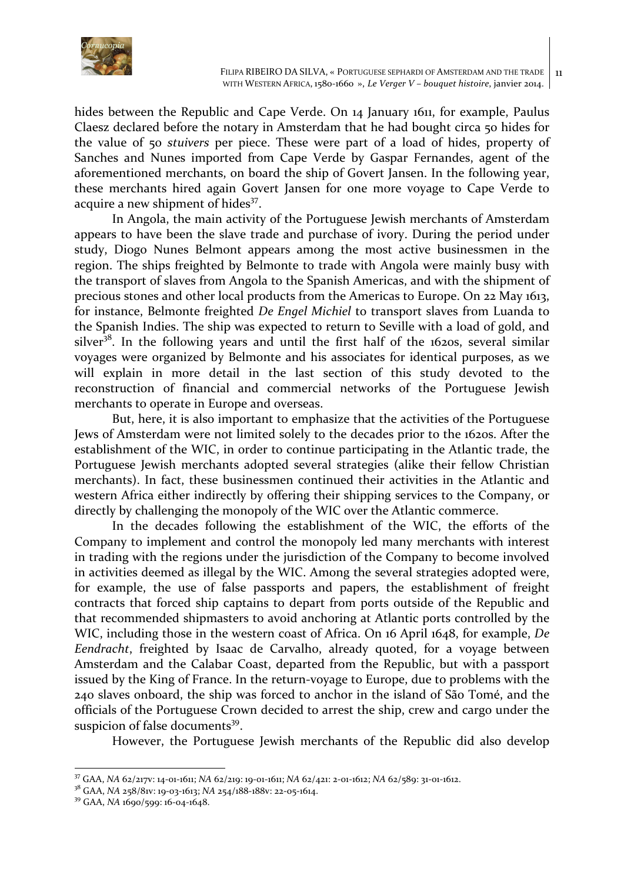

hides between the Republic and Cape Verde. On 14 January 1611, for example, Paulus Claesz declared before the notary in Amsterdam that he had bought circa 50 hides for the value of 50 *stuivers* per piece. These were part of a load of hides, property of Sanches and Nunes imported from Cape Verde by Gaspar Fernandes, agent of the aforementioned merchants, on board the ship of Govert Jansen. In the following year, these merchants hired again Govert Jansen for one more voyage to Cape Verde to acquire a new shipment of hides<sup>37</sup>.

In Angola, the main activity of the Portuguese Jewish merchants of Amsterdam appears to have been the slave trade and purchase of ivory. During the period under study, Diogo Nunes Belmont appears among the most active businessmen in the region. The ships freighted by Belmonte to trade with Angola were mainly busy with the transport of slaves from Angola to the Spanish Americas, and with the shipment of precious stones and other local products from the Americas to Europe. On 22 May 1613, for instance, Belmonte freighted *De Engel Michiel* to transport slaves from Luanda to the Spanish Indies. The ship was expected to return to Seville with a load of gold, and silver<sup>38</sup>. In the following years and until the first half of the 1620s, several similar voyages were organized by Belmonte and his associates for identical purposes, as we will explain in more detail in the last section of this study devoted to the reconstruction of financial and commercial networks of the Portuguese Jewish merchants to operate in Europe and overseas.

But, here, it is also important to emphasize that the activities of the Portuguese Jews of Amsterdam were not limited solely to the decades prior to the 1620s. After the establishment of the WIC, in order to continue participating in the Atlantic trade, the Portuguese Jewish merchants adopted several strategies (alike their fellow Christian merchants). In fact, these businessmen continued their activities in the Atlantic and western Africa either indirectly by offering their shipping services to the Company, or directly by challenging the monopoly of the WIC over the Atlantic commerce.

In the decades following the establishment of the WIC, the efforts of the Company to implement and control the monopoly led many merchants with interest in trading with the regions under the jurisdiction of the Company to become involved in activities deemed as illegal by the WIC. Among the several strategies adopted were, for example, the use of false passports and papers, the establishment of freight contracts that forced ship captains to depart from ports outside of the Republic and that recommended shipmasters to avoid anchoring at Atlantic ports controlled by the WIC, including those in the western coast of Africa. On 16 April 1648, for example, *De Eendracht*, freighted by Isaac de Carvalho, already quoted, for a voyage between Amsterdam and the Calabar Coast, departed from the Republic, but with a passport issued by the King of France. In the return-voyage to Europe, due to problems with the 240 slaves onboard, the ship was forced to anchor in the island of São Tomé, and the officials of the Portuguese Crown decided to arrest the ship, crew and cargo under the suspicion of false documents<sup>39</sup>.

However, the Portuguese Jewish merchants of the Republic did also develop

<sup>&</sup>lt;sup>37</sup> GAA, *NA* 62/217v: 14-01-1611; *NA* 62/219: 19-01-1611; *NA* 62/421: 2-01-1612; *NA* 62/589: 31-01-1612.

<sup>&</sup>lt;sup>38</sup> GAA, *NA* 258/81v: 19-03-1613; *NA* 254/188-188v: 22-05-1614.<br><sup>39</sup> GAA, *NA* 1690/599: 16-04-1648.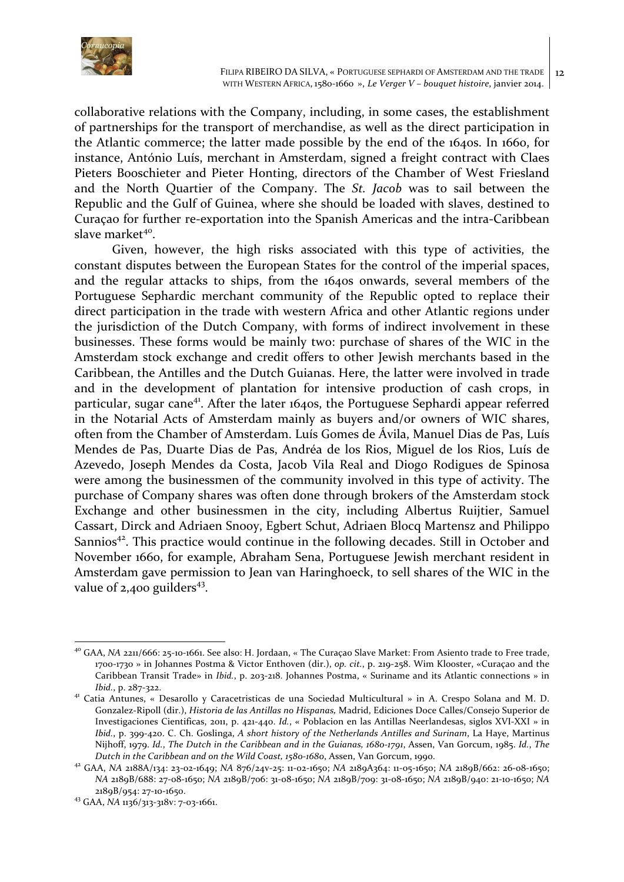

collaborative relations with the Company, including, in some cases, the establishment of partnerships for the transport of merchandise, as well as the direct participation in the Atlantic commerce; the latter made possible by the end of the 1640s. In 1660, for instance, António Luís, merchant in Amsterdam, signed a freight contract with Claes Pieters Booschieter and Pieter Honting, directors of the Chamber of West Friesland and the North Quartier of the Company. The *St. Jacob* was to sail between the Republic and the Gulf of Guinea, where she should be loaded with slaves, destined to Curaçao for further re-exportation into the Spanish Americas and the intra-Caribbean slave market<sup>40</sup>.

Given, however, the high risks associated with this type of activities, the constant disputes between the European States for the control of the imperial spaces, and the regular attacks to ships, from the 1640s onwards, several members of the Portuguese Sephardic merchant community of the Republic opted to replace their direct participation in the trade with western Africa and other Atlantic regions under the jurisdiction of the Dutch Company, with forms of indirect involvement in these businesses. These forms would be mainly two: purchase of shares of the WIC in the Amsterdam stock exchange and credit offers to other Jewish merchants based in the Caribbean, the Antilles and the Dutch Guianas. Here, the latter were involved in trade and in the development of plantation for intensive production of cash crops, in particular, sugar cane<sup>41</sup>. After the later  $1640s$ , the Portuguese Sephardi appear referred in the Notarial Acts of Amsterdam mainly as buyers and/or owners of WIC shares, often from the Chamber of Amsterdam. Luís Gomes de Ávila, Manuel Dias de Pas, Luís Mendes de Pas, Duarte Dias de Pas, Andréa de los Rios, Miguel de los Rios, Luís de Azevedo, Joseph Mendes da Costa, Jacob Vila Real and Diogo Rodigues de Spinosa were among the businessmen of the community involved in this type of activity. The purchase of Company shares was often done through brokers of the Amsterdam stock Exchange and other businessmen in the city, including Albertus Ruijtier, Samuel Cassart, Dirck and Adriaen Snooy, Egbert Schut, Adriaen Blocq Martensz and Philippo Sannios<sup>42</sup>. This practice would continue in the following decades. Still in October and November 1660, for example, Abraham Sena, Portuguese Jewish merchant resident in Amsterdam gave permission to Jean van Haringhoeck, to sell shares of the WIC in the value of  $2,400$  guilders<sup>43</sup>.

<sup>&</sup>lt;sup>40</sup> GAA, NA 2211/666: 25-10-1661. See also: H. Jordaan, « The Curaçao Slave Market: From Asiento trade to Free trade, 1700-1730 » in Johannes Postma & Victor Enthoven (dir.), op. cit., p. 219-258. Wim Klooster, «Curaçao and the Caribbean Transit Trade» in *Ibid.*, p. 203-218. Johannes Postma, « Suriname and its Atlantic connections » in *Ibid.*, p. 287-322.<br><sup>41</sup> Catia Antunes, « Desarollo y Caracetristicas de una Sociedad Multicultural » in A. Crespo Solana and M. D.

Gonzalez-Ripoll (dir.), *Historia de las Antillas no Hispanas*, Madrid, Ediciones Doce Calles/Consejo Superior de Investigaciones Cientificas, 2011, p. 421-440. *Id.*, « Poblacion en las Antillas Neerlandesas, siglos XVI-XXI » in *Ibid.*, p. 399-420. C. Ch. Goslinga, *A short history of the Netherlands Antilles and Surinam*, La Haye, Martinus Nijhoff, 1979. *Id.*, *The Dutch in the Caribbean and in the Guianas, 1680-1791*, Assen, Van Gorcum, 1985. *Id.*, *The* Dutch in the Caribbean and on the Wild Coast, 1580-1680, Assen, Van Gorcum, 1990.<br><sup>42</sup> GAA, NA 2188A/134: 23-02-1649; NA 876/24v-25: 11-02-1650; NA 2189A364: 11-05-1650; NA 2189B/662: 26-08-1650;

*NA* 2189B/688: 27-08-1650; *NA* 2189B/706: 31-08-1650; *NA* 2189B/709: 31-08-1650; *NA* 2189B/940: 21-10-1650; *NA* 2189B/954: 27-10-1650.<br><sup>43</sup> GAA, *NA* 1136/313-318v: 7-03-1661.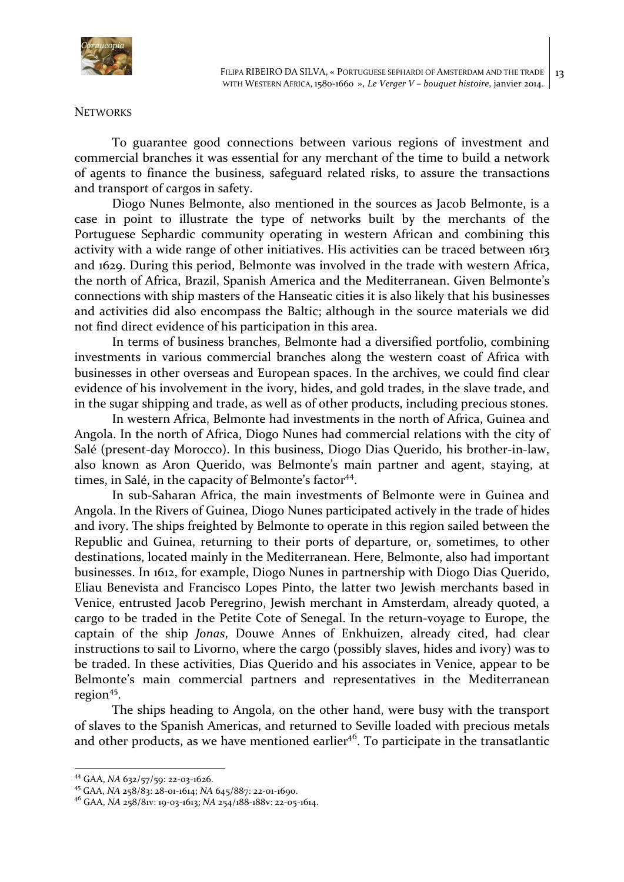

#### **NETWORKS**

To guarantee good connections between various regions of investment and commercial branches it was essential for any merchant of the time to build a network of agents to finance the business, safeguard related risks, to assure the transactions and transport of cargos in safety.

Diogo Nunes Belmonte, also mentioned in the sources as Jacob Belmonte, is a case in point to illustrate the type of networks built by the merchants of the Portuguese Sephardic community operating in western African and combining this activity with a wide range of other initiatives. His activities can be traced between 1613 and 1629. During this period, Belmonte was involved in the trade with western Africa, the north of Africa, Brazil, Spanish America and the Mediterranean. Given Belmonte's connections with ship masters of the Hanseatic cities it is also likely that his businesses and activities did also encompass the Baltic; although in the source materials we did not find direct evidence of his participation in this area.

In terms of business branches, Belmonte had a diversified portfolio, combining investments in various commercial branches along the western coast of Africa with businesses in other overseas and European spaces. In the archives, we could find clear evidence of his involvement in the ivory, hides, and gold trades, in the slave trade, and in the sugar shipping and trade, as well as of other products, including precious stones.

In western Africa, Belmonte had investments in the north of Africa, Guinea and Angola. In the north of Africa, Diogo Nunes had commercial relations with the city of Salé (present-day Morocco). In this business, Diogo Dias Querido, his brother-in-law, also known as Aron Querido, was Belmonte's main partner and agent, staying, at times, in Salé, in the capacity of Belmonte's factor<sup>44</sup>.

In sub-Saharan Africa, the main investments of Belmonte were in Guinea and Angola. In the Rivers of Guinea, Diogo Nunes participated actively in the trade of hides and ivory. The ships freighted by Belmonte to operate in this region sailed between the Republic and Guinea, returning to their ports of departure, or, sometimes, to other destinations, located mainly in the Mediterranean. Here, Belmonte, also had important businesses. In 1612, for example, Diogo Nunes in partnership with Diogo Dias Querido, Eliau Benevista and Francisco Lopes Pinto, the latter two Jewish merchants based in Venice, entrusted Jacob Peregrino, Jewish merchant in Amsterdam, already quoted, a cargo to be traded in the Petite Cote of Senegal. In the return-voyage to Europe, the captain of the ship *Jonas*, Douwe Annes of Enkhuizen, already cited, had clear instructions to sail to Livorno, where the cargo (possibly slaves, hides and ivory) was to be traded. In these activities, Dias Querido and his associates in Venice, appear to be Belmonte's main commercial partners and representatives in the Mediterranean region $45$ .

The ships heading to Angola, on the other hand, were busy with the transport of slaves to the Spanish Americas, and returned to Seville loaded with precious metals and other products, as we have mentioned earlier<sup>46</sup>. To participate in the transatlantic

<sup>&</sup>lt;sup>44</sup> GAA, *NA* 632/57/59: 22-03-1626.<br><sup>45</sup> GAA, *NA* 258/83: 28-01-1614; *NA* 645/887: 22-01-1690.

<sup>&</sup>lt;sup>46</sup> GAA, *NA* 258/81v: 19-03-1613; *NA* 254/188-188v: 22-05-1614.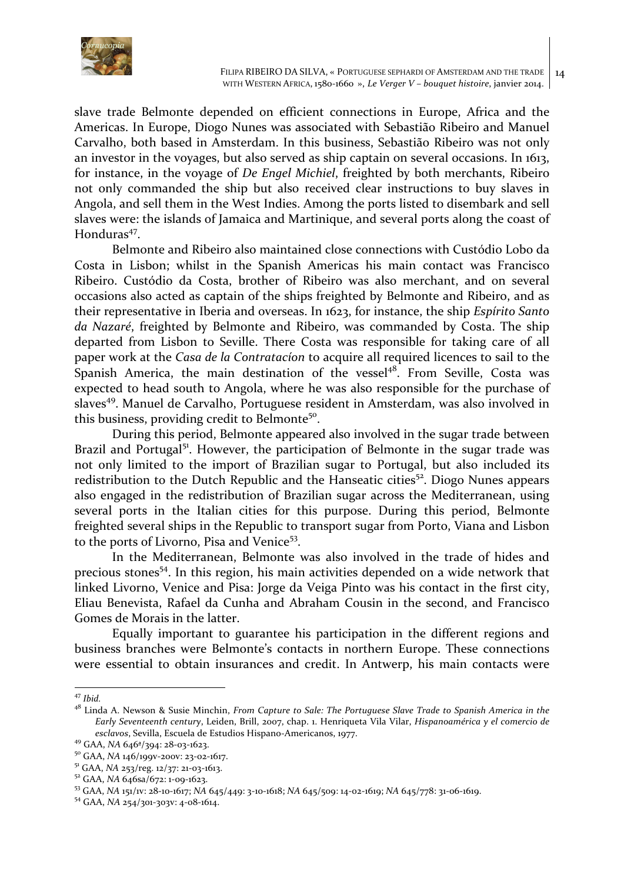

slave trade Belmonte depended on efficient connections in Europe, Africa and the Americas. In Europe, Diogo Nunes was associated with Sebastião Ribeiro and Manuel Carvalho, both based in Amsterdam. In this business, Sebastião Ribeiro was not only an investor in the voyages, but also served as ship captain on several occasions. In 1613, for instance, in the voyage of *De Engel Michiel*, freighted by both merchants, Ribeiro not only commanded the ship but also received clear instructions to buy slaves in Angola, and sell them in the West Indies. Among the ports listed to disembark and sell slaves were: the islands of Jamaica and Martinique, and several ports along the coast of Honduras<sup>47</sup>.

Belmonte and Ribeiro also maintained close connections with Custódio Lobo da Costa in Lisbon; whilst in the Spanish Americas his main contact was Francisco Ribeiro. Custódio da Costa, brother of Ribeiro was also merchant, and on several occasions also acted as captain of the ships freighted by Belmonte and Ribeiro, and as their representative in Iberia and overseas. In 1623, for instance, the ship *Espírito Santo* da Nazaré, freighted by Belmonte and Ribeiro, was commanded by Costa. The ship departed from Lisbon to Seville. There Costa was responsible for taking care of all paper work at the *Casa de la Contratacion* to acquire all required licences to sail to the Spanish America, the main destination of the vessel<sup>48</sup>. From Seville, Costa was expected to head south to Angola, where he was also responsible for the purchase of slaves<sup>49</sup>. Manuel de Carvalho, Portuguese resident in Amsterdam, was also involved in this business, providing credit to Belmonte<sup>50</sup>.

During this period, Belmonte appeared also involved in the sugar trade between Brazil and Portugal<sup>51</sup>. However, the participation of Belmonte in the sugar trade was not only limited to the import of Brazilian sugar to Portugal, but also included its redistribution to the Dutch Republic and the Hanseatic cities<sup>52</sup>. Diogo Nunes appears also engaged in the redistribution of Brazilian sugar across the Mediterranean, using several ports in the Italian cities for this purpose. During this period, Belmonte freighted several ships in the Republic to transport sugar from Porto, Viana and Lisbon to the ports of Livorno, Pisa and Venice<sup>53</sup>.

In the Mediterranean, Belmonte was also involved in the trade of hides and precious stones<sup>54</sup>. In this region, his main activities depended on a wide network that linked Livorno, Venice and Pisa: Jorge da Veiga Pinto was his contact in the first city, Eliau Benevista, Rafael da Cunha and Abraham Cousin in the second, and Francisco Gomes de Morais in the latter.

Equally important to guarantee his participation in the different regions and business branches were Belmonte's contacts in northern Europe. These connections were essential to obtain insurances and credit. In Antwerp, his main contacts were

 <sup>47</sup> *Ibid.*

<sup>&</sup>lt;sup>48</sup> Linda A. Newson & Susie Minchin, *From Capture to Sale: The Portuguese Slave Trade to Spanish America in the* Early Seventeenth century, Leiden, Brill, 2007, chap. 1. Henriqueta Vila Vilar, *Hispanoamérica* y el comercio de esclavos, Sevilla, Escuela de Estudios Hispano-Americanos, 1977.<br><sup>49</sup> GAA, NA 646ª/394: 28-03-1623.<br><sup>50</sup> GAA, NA 146/199v-200v: 23-02-1617.<br><sup>51</sup> GAA, NA 253/reg. 12/37: 21-03-1613.<br><sup>52</sup> GAA, NA 646sa/672: 1-09-1623.<br><sup>53</sup> G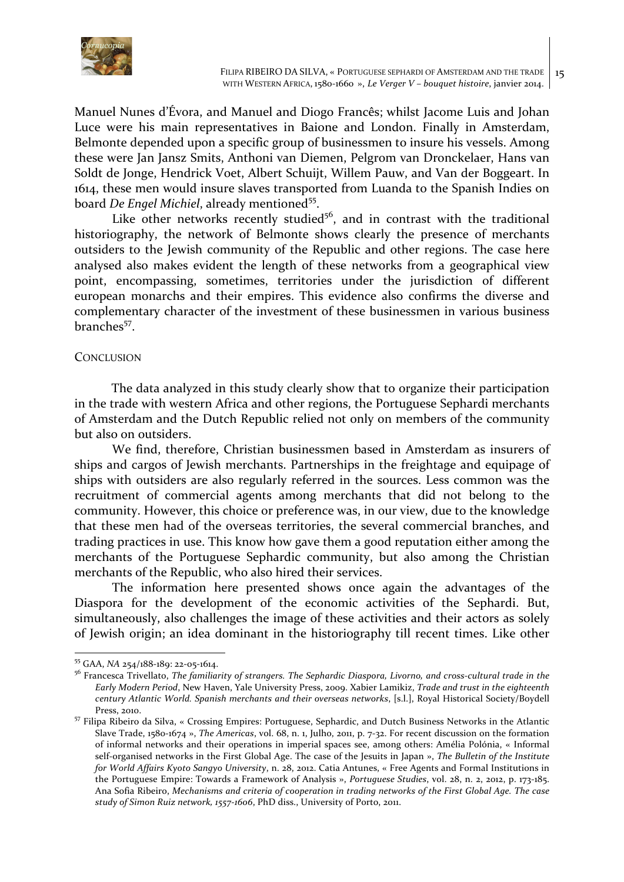

Manuel Nunes d'Évora, and Manuel and Diogo Francês; whilst Jacome Luis and Johan Luce were his main representatives in Baione and London. Finally in Amsterdam, Belmonte depended upon a specific group of businessmen to insure his vessels. Among these were Jan Jansz Smits, Anthoni van Diemen, Pelgrom van Dronckelaer, Hans van Soldt de Jonge, Hendrick Voet, Albert Schuijt, Willem Pauw, and Van der Boggeart. In 1614, these men would insure slaves transported from Luanda to the Spanish Indies on board *De Engel Michiel*, already mentioned<sup>55</sup>.

Like other networks recently studied<sup>56</sup>, and in contrast with the traditional historiography, the network of Belmonte shows clearly the presence of merchants outsiders to the Jewish community of the Republic and other regions. The case here analysed also makes evident the length of these networks from a geographical view point, encompassing, sometimes, territories under the jurisdiction of different european monarchs and their empires. This evidence also confirms the diverse and complementary character of the investment of these businessmen in various business branches<sup>57</sup>.

## **CONCLUSION**

The data analyzed in this study clearly show that to organize their participation in the trade with western Africa and other regions, the Portuguese Sephardi merchants of Amsterdam and the Dutch Republic relied not only on members of the community but also on outsiders.

We find, therefore, Christian businessmen based in Amsterdam as insurers of ships and cargos of Jewish merchants. Partnerships in the freightage and equipage of ships with outsiders are also regularly referred in the sources. Less common was the recruitment of commercial agents among merchants that did not belong to the community. However, this choice or preference was, in our view, due to the knowledge that these men had of the overseas territories, the several commercial branches, and trading practices in use. This know how gave them a good reputation either among the merchants of the Portuguese Sephardic community, but also among the Christian merchants of the Republic, who also hired their services.

The information here presented shows once again the advantages of the Diaspora for the development of the economic activities of the Sephardi. But, simultaneously, also challenges the image of these activities and their actors as solely of Jewish origin; an idea dominant in the historiography till recent times. Like other

<sup>&</sup>lt;sup>55</sup> GAA, *NA* 254/188-189: 22-05-1614.

<sup>&</sup>lt;sup>56</sup> Francesca Trivellato, *The familiarity of strangers. The Sephardic Diaspora, Livorno, and cross-cultural trade in the Early Modern Period, New Haven, Yale University Press, 2009. Xabier Lamikiz, Trade and trust in the eighteenth century Atlantic World. Spanish merchants and their overseas networks*, [s.l.], Royal Historical Society/Boydell Press, 2010.<br><sup>57</sup> Filipa Ribeiro da Silva, « Crossing Empires: Portuguese, Sephardic, and Dutch Business Networks in the Atlantic

Slave Trade, 1580-1674 », *The Americas*, vol. 68, n. 1, Julho, 2011, p. 7-32. For recent discussion on the formation of informal networks and their operations in imperial spaces see, among others: Amélia Polónia, « Informal self-organised networks in the First Global Age. The case of the Jesuits in Japan », The Bulletin of the Institute *for World Affairs Kyoto Sangyo University*, n. 28, 2012. Catia Antunes, « Free Agents and Formal Institutions in the Portuguese Empire: Towards a Framework of Analysis », Portuguese Studies, vol. 28, n. 2, 2012, p. 173-185. Ana Sofia Ribeiro, *Mechanisms and criteria of cooperation in trading networks of the First Global Age. The case study* of Simon Ruiz network, 1557-1606, PhD diss., University of Porto, 2011.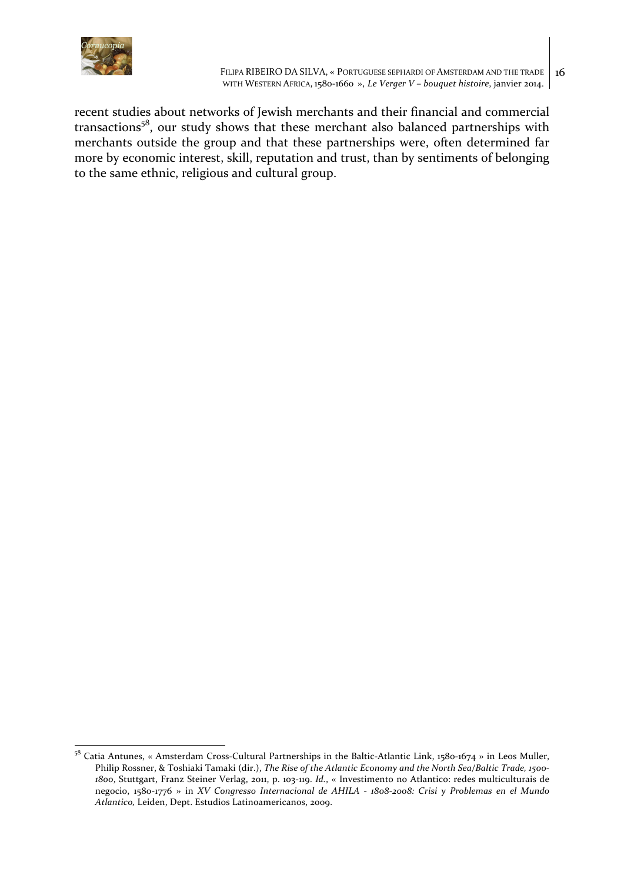

recent studies about networks of Jewish merchants and their financial and commercial transactions<sup>58</sup>, our study shows that these merchant also balanced partnerships with merchants outside the group and that these partnerships were, often determined far more by economic interest, skill, reputation and trust, than by sentiments of belonging to the same ethnic, religious and cultural group.

<sup>&</sup>lt;sup>58</sup> Catia Antunes, « Amsterdam Cross-Cultural Partnerships in the Baltic-Atlantic Link, 1580-1674 » in Leos Muller, Philip Rossner, & Toshiaki Tamaki (dir.), *The Rise of the Atlantic Economy and the North Sea/Baltic Trade, 1500-*1800, Stuttgart, Franz Steiner Verlag, 2011, p. 103-119. *Id.*, « Investimento no Atlantico: redes multiculturais de negocio, 1580-1776 » in *XV* Congresso Internacional de AHILA - 1808-2008: Crisi y Problemas en el Mundo Atlantico, Leiden, Dept. Estudios Latinoamericanos, 2009.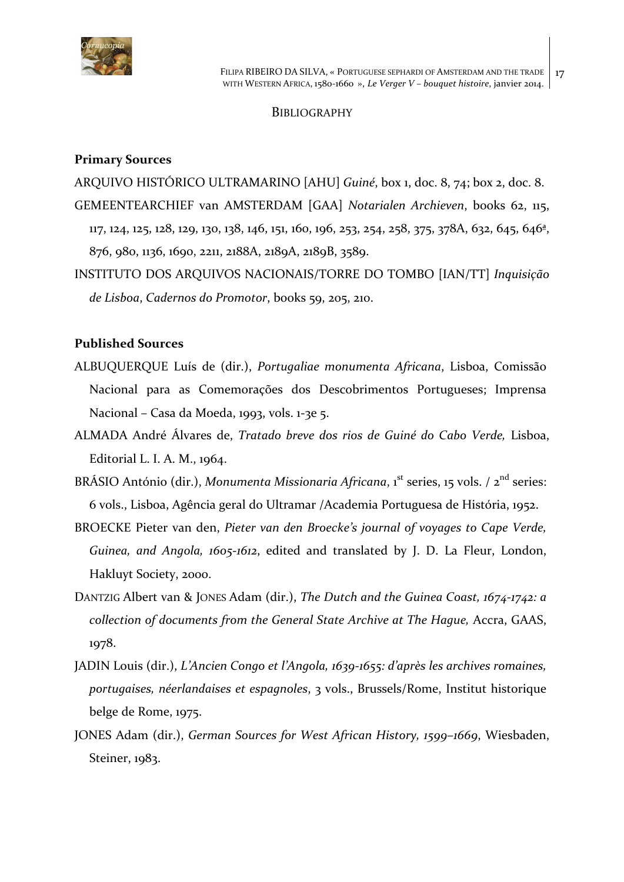

## **BIBLIOGRAPHY**

## **Primary Sources**

ARQUIVO HISTÓRICO ULTRAMARINO [AHU] Guiné, box 1, doc. 8, 74; box 2, doc. 8. GEMEENTEARCHIEF van AMSTERDAM [GAA] Notarialen Archieven, books 62, 115, 117, 124, 125, 128, 129, 130, 138, 146, 151, 160, 196, 253, 254, 258, 375, 378A, 632, 645, 646<sup>a</sup>, 876, 980, 1136, 1690, 2211, 2188A, 2189A, 2189B, 3589.

INSTITUTO DOS ARQUIVOS NACIONAIS/TORRE DO TOMBO [IAN/TT] *Inquisição de Lisboa*, *Cadernos do Promotor*, books 59, 205, 210. 

## **Published Sources**

- ALBUQUERQUE Luís de (dir.), *Portugaliae monumenta Africana*, Lisboa, Comissão Nacional para as Comemorações dos Descobrimentos Portugueses; Imprensa Nacional – Casa da Moeda, 1993, vols. 1-3e 5.
- ALMADA André Álvares de, *Tratado breve dos rios de Guiné do Cabo Verde,* Lisboa, Editorial L. I. A. M.,  $1964$ .
- BRÁSIO António (dir.), *Monumenta Missionaria Africana*, 1<sup>st</sup> series, 15 vols. / 2<sup>nd</sup> series: 6 vols., Lisboa, Agência geral do Ultramar /Academia Portuguesa de História, 1952.
- BROECKE Pieter van den, *Pieter van den Broecke's journal of voyages to Cape Verde,* Guinea, and Angola, 1605-1612, edited and translated by J. D. La Fleur, London, Hakluyt Society, 2000.
- DANTZIG Albert van & JONES Adam (dir.), *The Dutch and the Guinea Coast, 1674-1742: a collection of documents from the General State Archive at The Hague, Accra, GAAS,* 1978.
- JADIN Louis (dir.), *L'Ancien Congo et l'Angola, 1639-1655: d'après les archives romaines,* portugaises, néerlandaises et espagnoles, 3 vols., Brussels/Rome, Institut historique belge de Rome, 1975.
- JONES Adam (dir.), *German Sources for West African History*, 1599–1669, Wiesbaden, Steiner, 1983.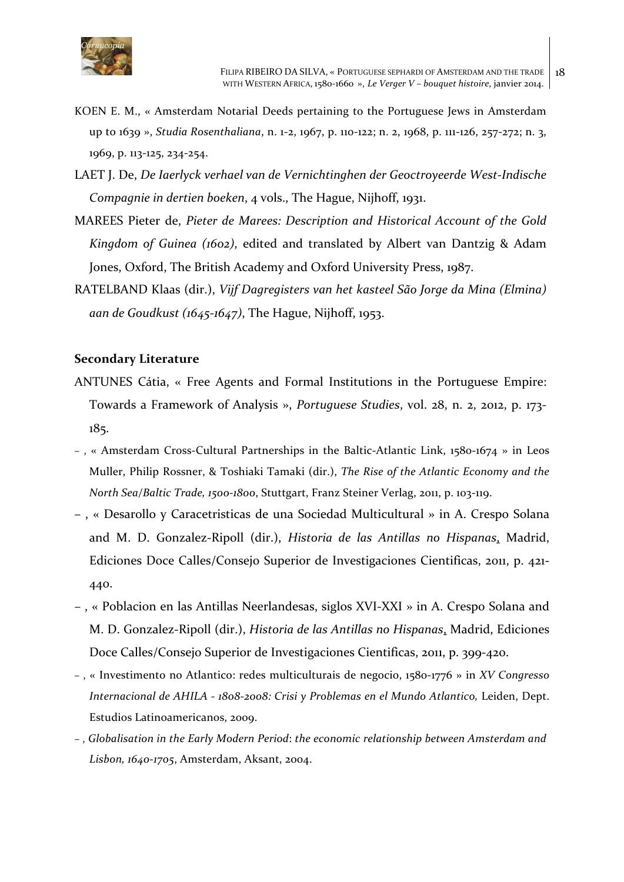

- KOEN E. M., « Amsterdam Notarial Deeds pertaining to the Portuguese Jews in Amsterdam up to 1639 », *Studia Rosenthaliana*, n. 1-2, 1967, p. 110-122; n. 2, 1968, p. 111-126, 257-272; n. 3, 1969, p. 113-125, 234-254.
- LAET J. De, *De Iaerlyck verhael van de Vernichtinghen der Geoctroyeerde West-Indische Compagnie in dertien boeken, 4 vols.,* The Hague, Nijhoff, 1931.
- MAREES Pieter de, *Pieter de Marees: Description and Historical Account of the Gold Kingdom of Guinea (1602)*, edited and translated by Albert van Dantzig & Adam Jones, Oxford, The British Academy and Oxford University Press, 1987.
- RATELBAND Klaas (dir.), *Vijf Dagregisters van het kasteel São Jorge da Mina (Elmina)* aan de Goudkust (1645-1647), The Hague, Nijhoff, 1953.

## **Secondary Literature**

- ANTUNES Cátia, « Free Agents and Formal Institutions in the Portuguese Empire: Towards a Framework of Analysis », *Portuguese Studies*, vol. 28, n. 2, 2012, p. 173-185.
- , « Amsterdam Cross-Cultural Partnerships in the Baltic-Atlantic Link, 1580-1674 » in Leos Muller, Philip Rossner, & Toshiaki Tamaki (dir.), *The Rise of the Atlantic Economy and the North Sea/Baltic Trade, 1500-1800*, Stuttgart, Franz Steiner Verlag, 2011, p. 103-119.
- –, « Desarollo y Caracetristicas de una Sociedad Multicultural » in A. Crespo Solana and M. D. Gonzalez-Ripoll (dir.), *Historia de las Antillas no Hispanas*, Madrid, Ediciones Doce Calles/Consejo Superior de Investigaciones Cientificas, 2011, p. 421-440.
- –, « Poblacion en las Antillas Neerlandesas, siglos XVI-XXI » in A. Crespo Solana and M. D. Gonzalez-Ripoll (dir.), *Historia de las Antillas no Hispanas*, Madrid, Ediciones Doce Calles/Consejo Superior de Investigaciones Cientificas, 2011, p. 399-420.
- , « Investimento no Atlantico: redes multiculturais de negocio, 1580-1776 » in *XV Congresso Internacional de AHILA* - 1808-2008: Crisi y Problemas en el Mundo Atlantico, Leiden, Dept. Estudios Latinoamericanos, 2009.
- -, Globalisation in the Early Modern Period: the economic relationship between Amsterdam and Lisbon, 1640-1705, Amsterdam, Aksant, 2004.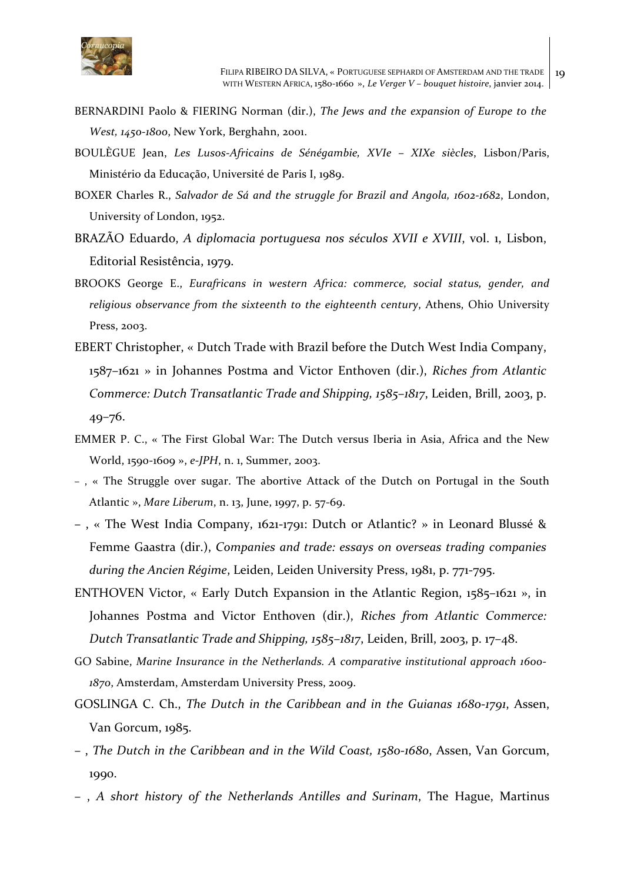

- BERNARDINI Paolo & FIERING Norman (dir.), *The lews and the expansion of Europe to the West, 1450-1800, New York, Berghahn, 2001.*
- BOULÈGUE Jean, *Les Lusos-Africains de Sénégambie, XVIe XIXe siècles*, Lisbon/Paris, Ministério da Educação, Université de Paris I, 1989.
- BOXER Charles R., *Salvador de Sá and the struggle for Brazil and Angola, 1602-1682*, London, University of London, 1952.
- BRAZÃO Eduardo, *A diplomacia portuguesa nos séculos XVII e XVIII*, vol. 1, Lisbon, Editorial Resistência, 1979.
- BROOKS George E., *Eurafricans in western Africa: commerce, social status, gender, and* religious observance from the sixteenth to the eighteenth century, Athens, Ohio University Press, 2003.
- EBERT Christopher, « Dutch Trade with Brazil before the Dutch West India Company, 1587–1621 » in Johannes Postma and Victor Enthoven (dir.), *Riches from Atlantic Commerce: Dutch Transatlantic Trade and Shipping, 1585–1817, Leiden, Brill, 2003, p.* 49–76.
- EMMER P. C., « The First Global War: The Dutch versus Iberia in Asia, Africa and the New World, 1590-1609 », e-JPH, n. 1, Summer, 2003.
- $-$ , « The Struggle over sugar. The abortive Attack of the Dutch on Portugal in the South Atlantic », Mare Liberum, n. 13, June, 1997, p. 57-69.
- –, « The West India Company, 1621-1791: Dutch or Atlantic? » in Leonard Blussé & Femme Gaastra (dir.), *Companies and trade: essays on overseas trading companies* during the Ancien Régime, Leiden, Leiden University Press, 1981, p. 771-795.
- ENTHOVEN Victor, « Early Dutch Expansion in the Atlantic Region,  $1585-1621$  », in Johannes Postma and Victor Enthoven (dir.), *Riches from Atlantic Commerce: Dutch Transatlantic Trade and Shipping, 1585–1817*, Leiden, Brill, 2003, p. 17–48.
- GO Sabine, *Marine Insurance in the Netherlands. A comparative institutional approach 1600-*1870, Amsterdam, Amsterdam University Press, 2009.
- GOSLINGA C. Ch., *The Dutch in the Caribbean and in the Guianas 1680-1791*, Assen, Van Gorcum, 1985.
- –, *The Dutch in the Caribbean and in the Wild Coast, 1580-1680*, Assen, Van Gorcum, 1990.
- , *A short history of the Netherlands Antilles and Surinam*, The Hague, Martinus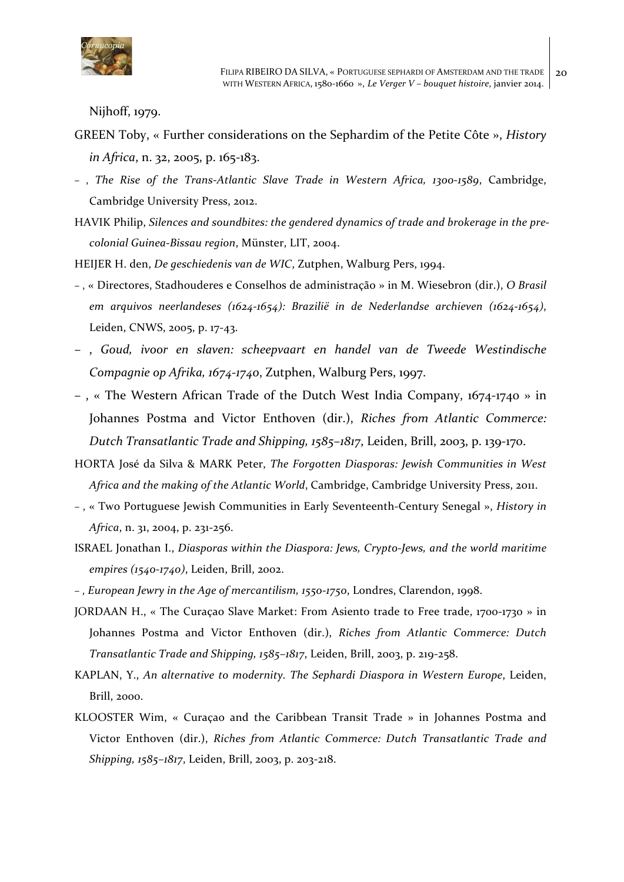

Nijhoff, 1979.

- GREEN Toby, « Further considerations on the Sephardim of the Petite Côte », *History in Africa*, n. 32, 2005, p. 165-183.
- , *The Rise of the Trans-Atlantic Slave Trade in Western Africa, 1300-1589*, Cambridge, Cambridge University Press, 2012.
- HAVIK Philip, *Silences and soundbites: the gendered dynamics of trade and brokerage in the precolonial Guinea-Bissau region*, Münster, LIT, 2004.
- HEIJER H. den, *De geschiedenis van de WIC*, Zutphen, Walburg Pers, 1994.
- , « Directores, Stadhouderes e Conselhos de administração » in M. Wiesebron (dir.), *O Brasil*  em arquivos neerlandeses (1624-1654): Brazilië in de Nederlandse archieven (1624-1654), Leiden, CNWS, 2005, p. 17-43.
- , *Goud, ivoor en slaven: scheepvaart en handel van de Tweede Westindische Compagnie op Afrika, 1674-1740, Zutphen, Walburg Pers, 1997.*
- -, « The Western African Trade of the Dutch West India Company,  $1674-1740$  » in Johannes Postma and Victor Enthoven (dir.), *Riches from Atlantic Commerce: Dutch Transatlantic Trade and Shipping, 1585–1817*, Leiden, Brill, 2003, p. 139-170.
- HORTA José da Silva & MARK Peter, *The Forgotten Diasporas: Jewish Communities in West* Africa and the making of the Atlantic World, Cambridge, Cambridge University Press, 2011.
- , « Two Portuguese Jewish Communities in Early Seventeenth-Century Senegal », *History in*  Africa, n. 31, 2004, p. 231-256.
- **ISRAEL** Jonathan I., *Diasporas within the Diaspora: Jews, Crypto-Jews, and the world maritime empires* (1540-1740), Leiden, Brill, 2002.
- , *European Jewry in the Age of mercantilism, 1550-1750*, Londres, Clarendon, 1998.
- JORDAAN H., « The Curaçao Slave Market: From Asiento trade to Free trade, 1700-1730 » in Johannes Postma and Victor Enthoven (dir.), *Riches from Atlantic Commerce: Dutch Transatlantic Trade and Shipping, 1585–1817*, Leiden, Brill, 2003, p. 219-258.
- KAPLAN, Y., *An alternative to modernity. The Sephardi Diaspora in Western Europe*, Leiden, Brill, 2000.
- KLOOSTER Wim, « Curaçao and the Caribbean Transit Trade » in Johannes Postma and Victor Enthoven (dir.), *Riches from Atlantic Commerce: Dutch Transatlantic Trade and Shipping, 1585-1817, Leiden, Brill, 2003, p. 203-218.*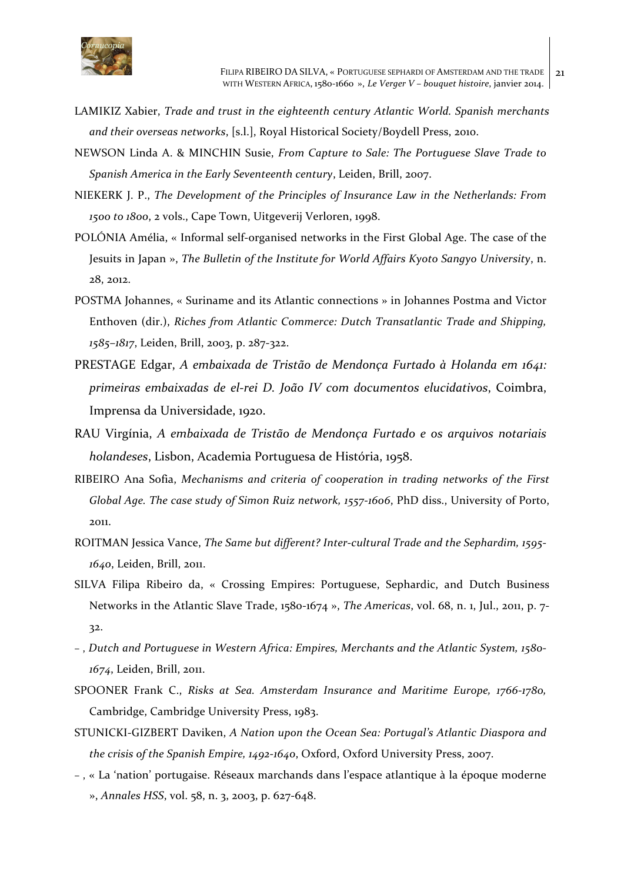

- LAMIKIZ Xabier, *Trade and trust in the eighteenth century Atlantic World. Spanish merchants* and their overseas networks, [s.l.], Royal Historical Society/Boydell Press, 2010.
- NEWSON Linda A. & MINCHIN Susie, *From Capture to Sale: The Portuguese Slave Trade to* Spanish America in the Early Seventeenth century, Leiden, Brill, 2007.
- NIEKERK J. P., *The Development of the Principles of Insurance Law in the Netherlands: From* 1500 to 1800, 2 vols., Cape Town, Uitgeverij Verloren, 1998.
- POLÓNIA Amélia, « Informal self-organised networks in the First Global Age. The case of the Jesuits in Japan », *The Bulletin of the Institute for World Affairs Kyoto Sangyo University*, n. 28, 2012.
- POSTMA Johannes, « Suriname and its Atlantic connections » in Johannes Postma and Victor Enthoven (dir.), *Riches from Atlantic Commerce: Dutch Transatlantic Trade and Shipping,* 1585-1817, Leiden, Brill, 2003, p. 287-322.
- PRESTAGE Edgar, *A embaixada de Tristão de Mendonça Furtado à Holanda em 1641: primeiras embaixadas de el-rei D. João IV com documentos elucidativos*, Coimbra, Imprensa da Universidade, 1920.
- RAU Virgínia, *A embaixada de Tristão de Mendonça Furtado e os arquivos notariais holandeses*, Lisbon, Academia Portuguesa de História, 1958.
- RIBEIRO Ana Sofia, *Mechanisms and criteria of cooperation in trading networks of the First Global Age. The case study of Simon Ruiz network, 1557-1606, PhD diss., University of Porto,* 2011.
- ROITMAN Jessica Vance, *The Same but different? Inter-cultural Trade and the Sephardim, 1595-*1640, Leiden, Brill, 2011.
- SILVA Filipa Ribeiro da, « Crossing Empires: Portuguese, Sephardic, and Dutch Business Networks in the Atlantic Slave Trade, 1580-1674 », *The Americas*, vol. 68, n. 1, Jul., 2011, p. 7-32.
- , *Dutch and Portuguese in Western Africa: Empires, Merchants and the Atlantic System, 1580-* 1674, Leiden, Brill, 2011.
- SPOONER Frank C., *Risks at Sea. Amsterdam Insurance and Maritime Europe, 1766-1780*, Cambridge, Cambridge University Press, 1983.
- STUNICKI-GIZBERT Daviken, *A Nation upon the Ocean Sea: Portugal's Atlantic Diaspora and the crisis of the Spanish Empire, 1492-1640, Oxford, Oxford University Press, 2007.*
- , « La 'nation' portugaise. Réseaux marchands dans l'espace atlantique à la époque moderne », Annales HSS, vol. 58, n. 3, 2003, p. 627-648.